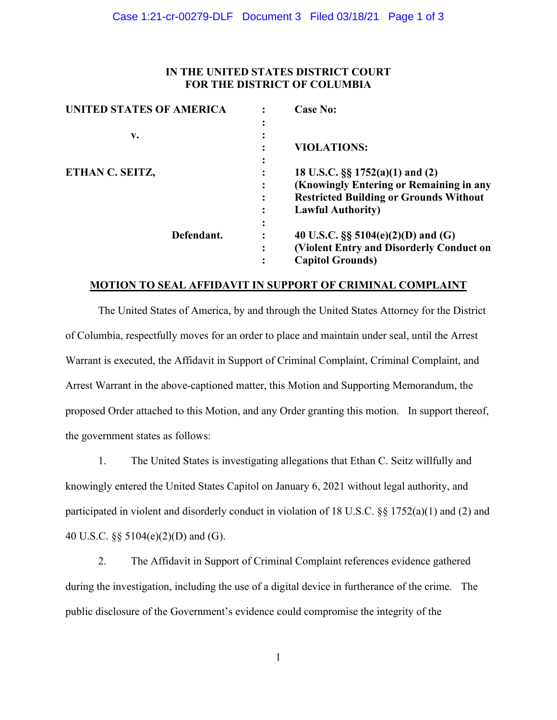## **IN THE UNITED STATES DISTRICT COURT FOR THE DISTRICT OF COLUMBIA**

| <b>UNITED STATES OF AMERICA</b> | <b>Case No:</b>                               |
|---------------------------------|-----------------------------------------------|
|                                 |                                               |
| v.                              |                                               |
|                                 | <b>VIOLATIONS:</b>                            |
|                                 |                                               |
| ETHAN C. SEITZ,                 | 18 U.S.C. §§ 1752(a)(1) and (2)               |
|                                 | (Knowingly Entering or Remaining in any       |
|                                 | <b>Restricted Building or Grounds Without</b> |
|                                 | <b>Lawful Authority</b> )                     |
|                                 |                                               |
| Defendant.                      | 40 U.S.C. $\S$ 5104(e)(2)(D) and (G)          |
|                                 | (Violent Entry and Disorderly Conduct on      |
|                                 | <b>Capitol Grounds</b> )                      |

### **MOTION TO SEAL AFFIDAVIT IN SUPPORT OF CRIMINAL COMPLAINT**

The United States of America, by and through the United States Attorney for the District of Columbia, respectfully moves for an order to place and maintain under seal, until the Arrest Warrant is executed, the Affidavit in Support of Criminal Complaint, Criminal Complaint, and Arrest Warrant in the above-captioned matter, this Motion and Supporting Memorandum, the proposed Order attached to this Motion, and any Order granting this motion. In support thereof, the government states as follows:

1. The United States is investigating allegations that Ethan C. Seitz willfully and knowingly entered the United States Capitol on January 6, 2021 without legal authority, and participated in violent and disorderly conduct in violation of 18 U.S.C. §§ 1752(a)(1) and (2) and 40 U.S.C. §§ 5104(e)(2)(D) and (G).

2. The Affidavit in Support of Criminal Complaint references evidence gathered during the investigation, including the use of a digital device in furtherance of the crime. The public disclosure of the Government's evidence could compromise the integrity of the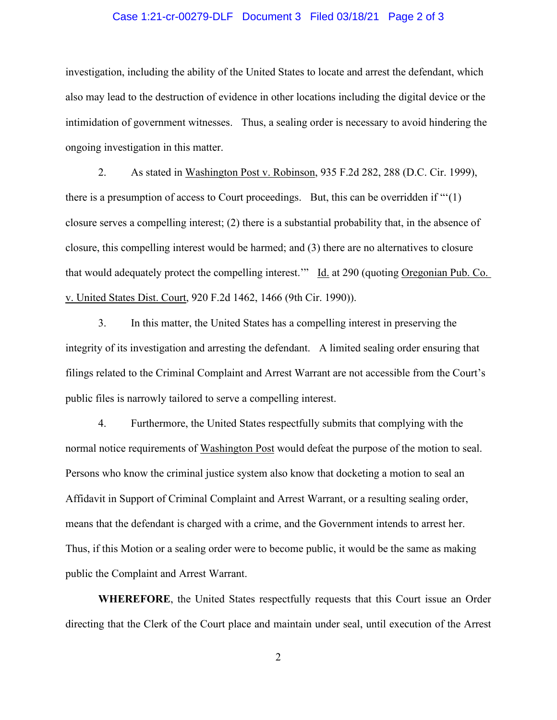#### Case 1:21-cr-00279-DLF Document 3 Filed 03/18/21 Page 2 of 3

investigation, including the ability of the United States to locate and arrest the defendant, which also may lead to the destruction of evidence in other locations including the digital device or the intimidation of government witnesses. Thus, a sealing order is necessary to avoid hindering the ongoing investigation in this matter.

2. As stated in Washington Post v. Robinson, 935 F.2d 282, 288 (D.C. Cir. 1999), there is a presumption of access to Court proceedings. But, this can be overridden if " $(1)$ " closure serves a compelling interest; (2) there is a substantial probability that, in the absence of closure, this compelling interest would be harmed; and (3) there are no alternatives to closure that would adequately protect the compelling interest.'" Id. at 290 (quoting Oregonian Pub. Co. v. United States Dist. Court, 920 F.2d 1462, 1466 (9th Cir. 1990)).

3. In this matter, the United States has a compelling interest in preserving the integrity of its investigation and arresting the defendant. A limited sealing order ensuring that filings related to the Criminal Complaint and Arrest Warrant are not accessible from the Court's public files is narrowly tailored to serve a compelling interest.

4. Furthermore, the United States respectfully submits that complying with the normal notice requirements of Washington Post would defeat the purpose of the motion to seal. Persons who know the criminal justice system also know that docketing a motion to seal an Affidavit in Support of Criminal Complaint and Arrest Warrant, or a resulting sealing order, means that the defendant is charged with a crime, and the Government intends to arrest her. Thus, if this Motion or a sealing order were to become public, it would be the same as making public the Complaint and Arrest Warrant.

**WHEREFORE**, the United States respectfully requests that this Court issue an Order directing that the Clerk of the Court place and maintain under seal, until execution of the Arrest

2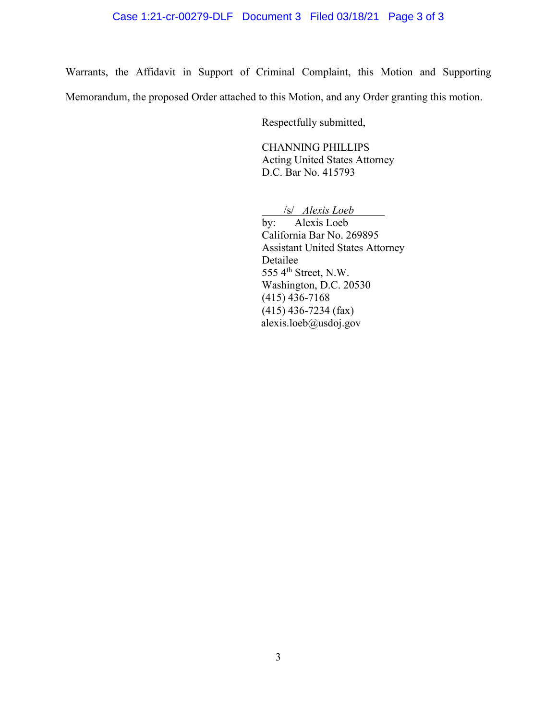# Case 1:21-cr-00279-DLF Document 3 Filed 03/18/21 Page 3 of 3

Warrants, the Affidavit in Support of Criminal Complaint, this Motion and Supporting Memorandum, the proposed Order attached to this Motion, and any Order granting this motion.

Respectfully submitted,

CHANNING PHILLIPS Acting United States Attorney D.C. Bar No. 415793

/s/ *Alexis Loeb*

by: Alexis Loeb California Bar No. 269895 Assistant United States Attorney Detailee 555  $4<sup>th</sup>$  Street, N.W. Washington, D.C. 20530 (415) 436-7168  $(415)$  436-7234 (fax) alexis.loeb@usdoj.gov